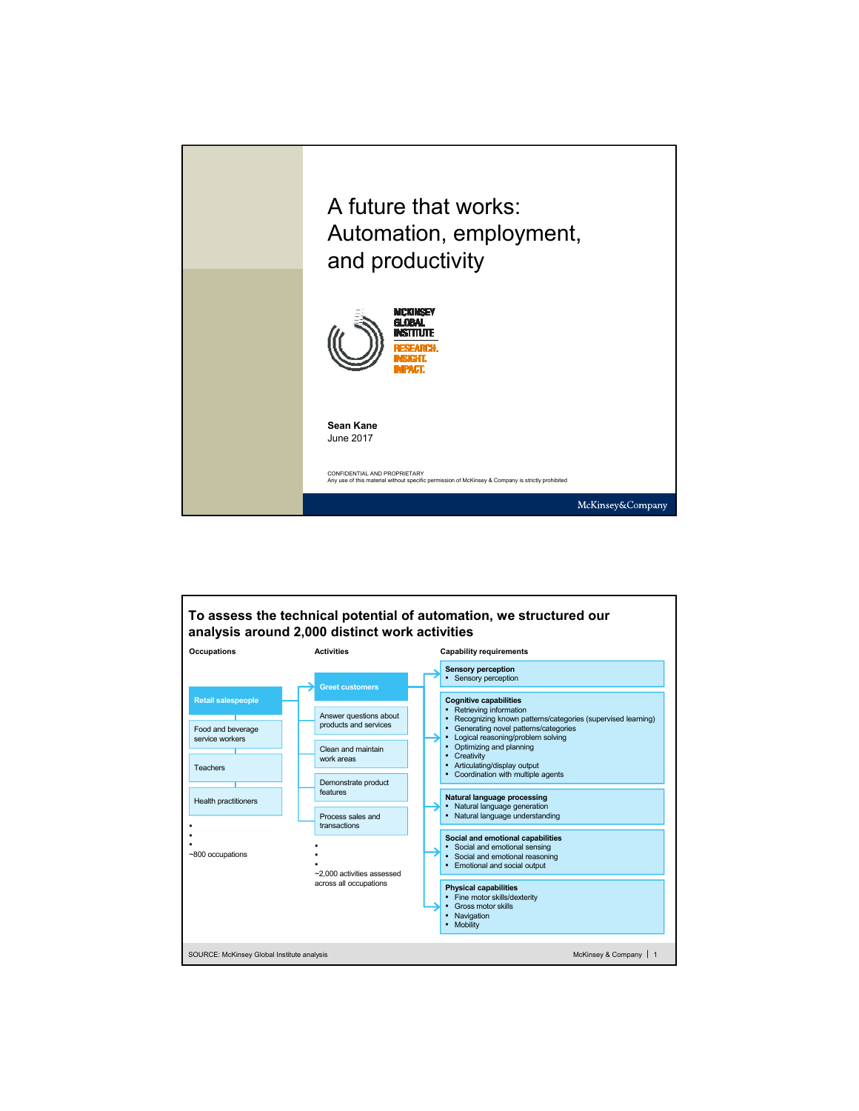

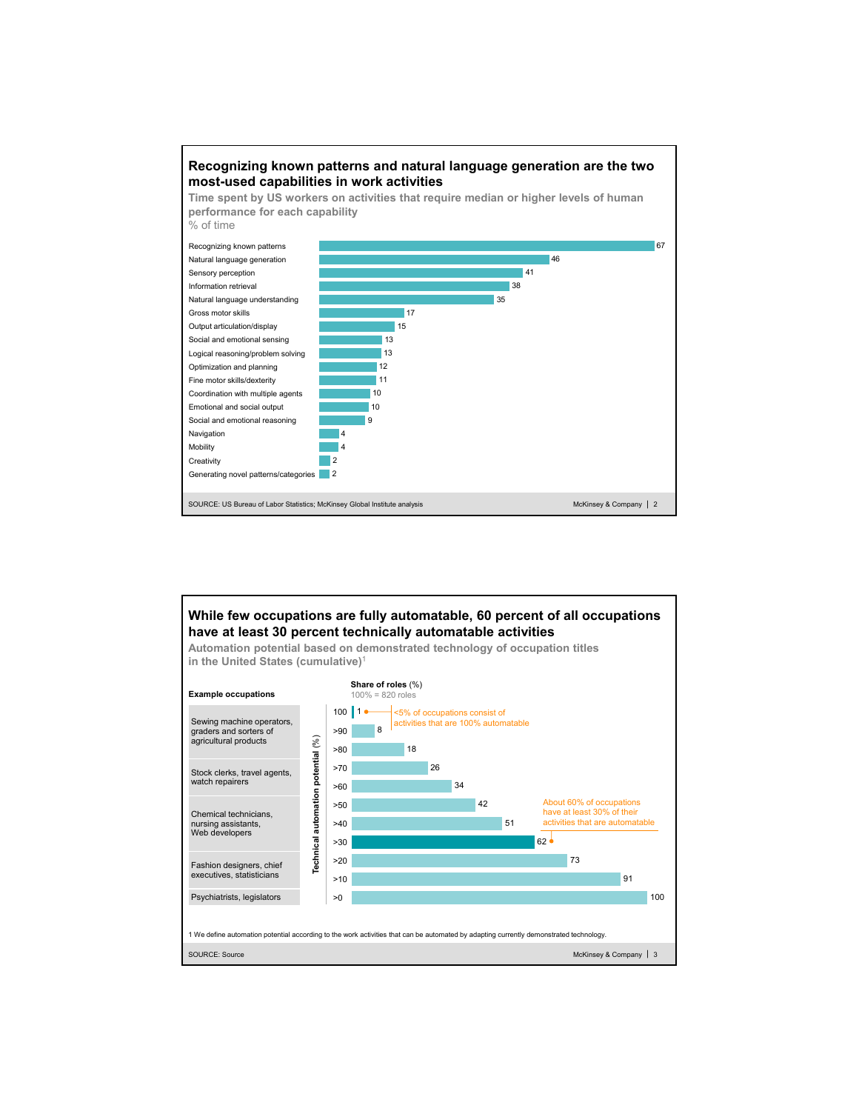

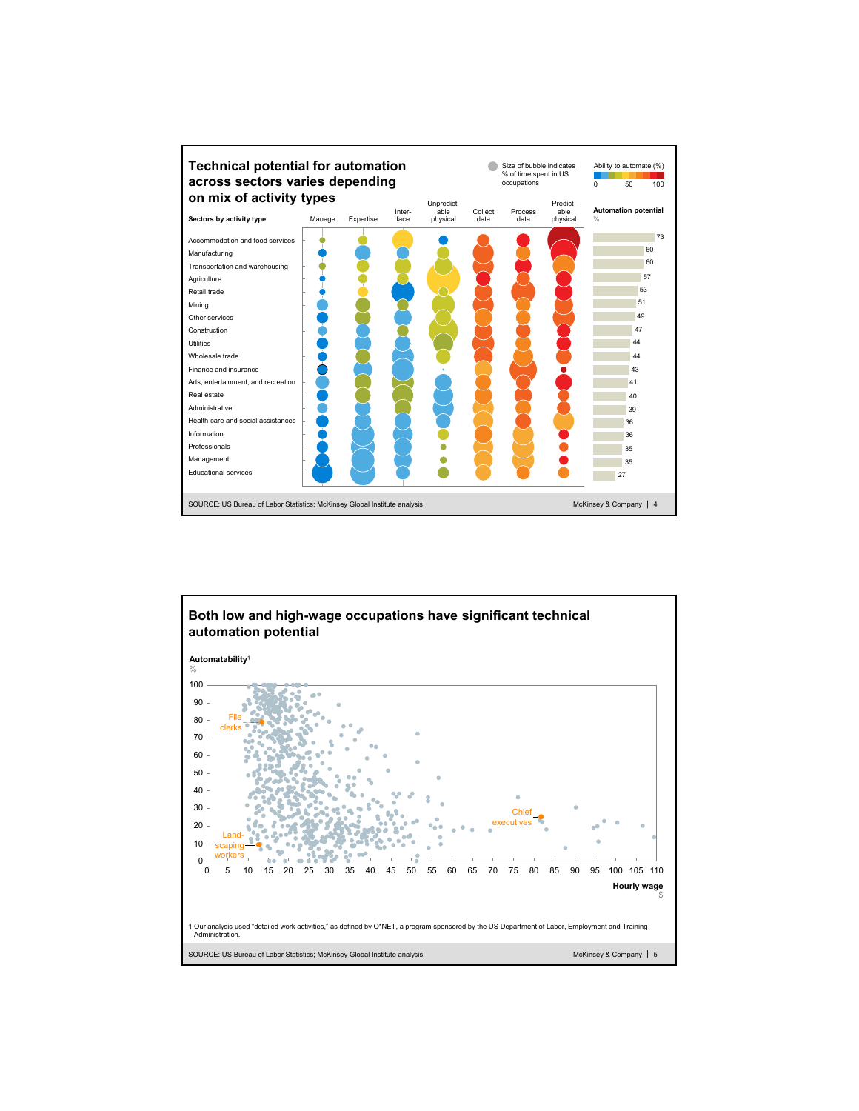